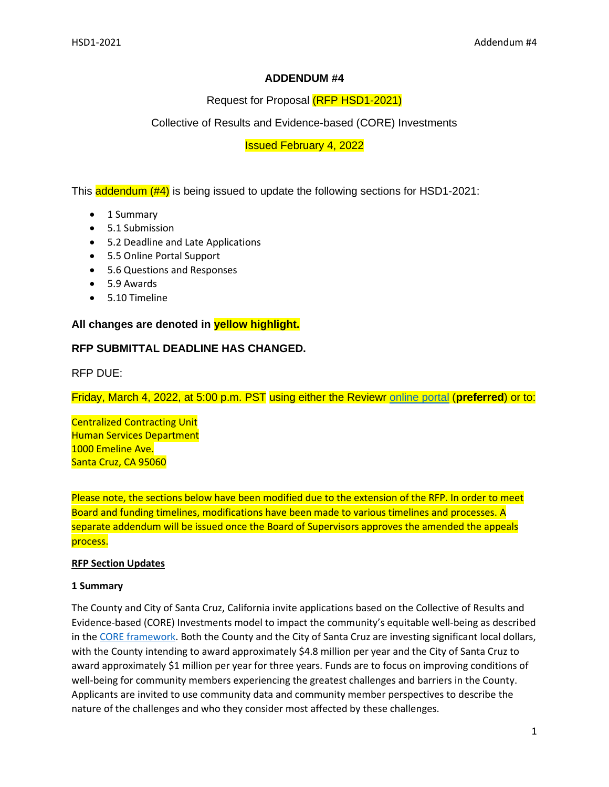# **ADDENDUM #4**

Request for Proposal (RFP HSD1-2021)

Collective of Results and Evidence-based (CORE) Investments

Issued February 4, 2022

This **addendum (#4)** is being issued to update the following sections for HSD1-2021:

- 1 Summary
- 5.1 Submission
- 5.2 Deadline and Late Applications
- 5.5 Online Portal Support
- 5.6 Questions and Responses
- 5.9 Awards
- 5.10 Timeline

# **All changes are denoted in yellow highlight.**

# **RFP SUBMITTAL DEADLINE HAS CHANGED.**

RFP DUE:

Friday, March 4, 2022, at 5:00 p.m. PST using either the Reviewr [online portal](https://my.reviewr.com/s2/site/core_investments_rfp) (**preferred**) or to:

Centralized Contracting Unit Human Services Department 1000 Emeline Ave. Santa Cruz, CA 95060

Please note, the sections below have been modified due to the extension of the RFP. In order to meet Board and funding timelines, modifications have been made to various timelines and processes. A separate addendum will be issued once the Board of Supervisors approves the amended the appeals process.

## **RFP Section Updates**

## **1 Summary**

The County and City of Santa Cruz, California invite applications based on the Collective of Results and Evidence-based (CORE) Investments model to impact the community's equitable well-being as described in the [CORE framework.](https://www.datasharescc.org/tiles/index/display?alias=CORE) Both the County and the City of Santa Cruz are investing significant local dollars, with the County intending to award approximately \$4.8 million per year and the City of Santa Cruz to award approximately \$1 million per year for three years. Funds are to focus on improving conditions of well-being for community members experiencing the greatest challenges and barriers in the County. Applicants are invited to use community data and community member perspectives to describe the nature of the challenges and who they consider most affected by these challenges.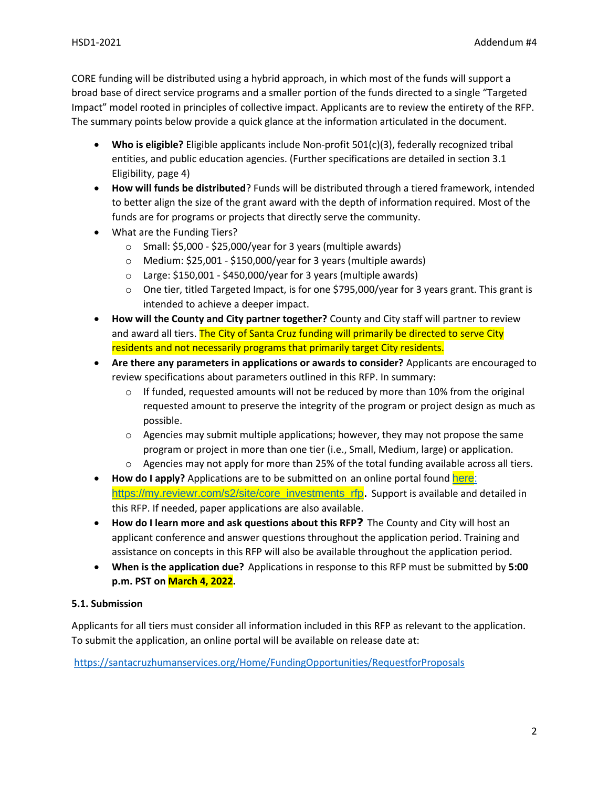CORE funding will be distributed using a hybrid approach, in which most of the funds will support a broad base of direct service programs and a smaller portion of the funds directed to a single "Targeted Impact" model rooted in principles of collective impact. Applicants are to review the entirety of the RFP. The summary points below provide a quick glance at the information articulated in the document.

- **Who is eligible?** Eligible applicants include Non-profit 501(c)(3), federally recognized tribal entities, and public education agencies. (Further specifications are detailed in section 3.1 Eligibility, page 4)
- **How will funds be distributed**? Funds will be distributed through a tiered framework, intended to better align the size of the grant award with the depth of information required. Most of the funds are for programs or projects that directly serve the community.
- What are the Funding Tiers?
	- $\circ$  Small: \$5,000 \$25,000/year for 3 years (multiple awards)
	- o Medium: \$25,001 \$150,000/year for 3 years (multiple awards)
	- $\circ$  Large: \$150,001 \$450,000/year for 3 years (multiple awards)
	- o One tier, titled Targeted Impact, is for one \$795,000/year for 3 years grant. This grant is intended to achieve a deeper impact.
- **How will the County and City partner together?** County and City staff will partner to review and award all tiers. The City of Santa Cruz funding will primarily be directed to serve City residents and not necessarily programs that primarily target City residents.
- **Are there any parameters in applications or awards to consider?** Applicants are encouraged to review specifications about parameters outlined in this RFP. In summary:
	- $\circ$  If funded, requested amounts will not be reduced by more than 10% from the original requested amount to preserve the integrity of the program or project design as much as possible.
	- $\circ$  Agencies may submit multiple applications; however, they may not propose the same program or project in more than one tier (i.e., Small, Medium, large) or application.
	- $\circ$  Agencies may not apply for more than 25% of the total funding available across all tiers.
- **How do I apply?** Applications are to be submitted on an online portal found [here:](https://my.reviewr.com/s2/site/core_investments_rfp) https://my.reviewr.com/s2/site/core\_investments\_rfp. Support is available and detailed in this RFP. If needed, paper applications are also available.
- **How do I learn more and ask questions about this RFP?** The County and City will host an applicant conference and answer questions throughout the application period. Training and assistance on concepts in this RFP will also be available throughout the application period.
- **When is the application due?** Applications in response to this RFP must be submitted by **5:00 p.m. PST on March 4, 2022.**

# **5.1. Submission**

Applicants for all tiers must consider all information included in this RFP as relevant to the application. To submit the application, an online portal will be available on release date at:

<https://santacruzhumanservices.org/Home/FundingOpportunities/RequestforProposals>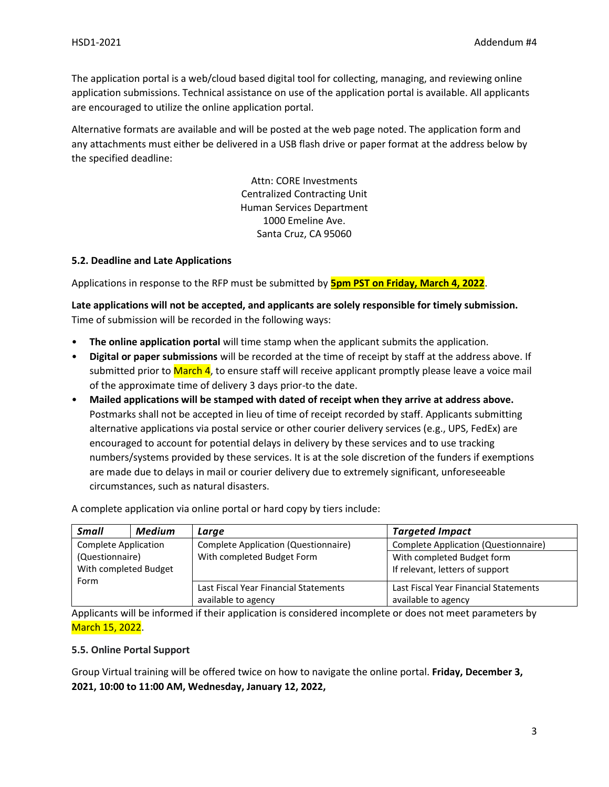The application portal is a web/cloud based digital tool for collecting, managing, and reviewing online application submissions. Technical assistance on use of the application portal is available. All applicants are encouraged to utilize the online application portal.

Alternative formats are available and will be posted at the web page noted. The application form and any attachments must either be delivered in a USB flash drive or paper format at the address below by the specified deadline:

> Attn: CORE Investments Centralized Contracting Unit Human Services Department 1000 Emeline Ave. Santa Cruz, CA 95060

## **5.2. Deadline and Late Applications**

Applications in response to the RFP must be submitted by **5pm PST on Friday, March 4, 2022**.

**Late applications will not be accepted, and applicants are solely responsible for timely submission.** Time of submission will be recorded in the following ways:

- **The online application portal** will time stamp when the applicant submits the application.
- **Digital or paper submissions** will be recorded at the time of receipt by staff at the address above. If submitted prior to March 4, to ensure staff will receive applicant promptly please leave a voice mail of the approximate time of delivery 3 days prior-to the date.
- **Mailed applications will be stamped with dated of receipt when they arrive at address above.**  Postmarks shall not be accepted in lieu of time of receipt recorded by staff. Applicants submitting alternative applications via postal service or other courier delivery services (e.g., UPS, FedEx) are encouraged to account for potential delays in delivery by these services and to use tracking numbers/systems provided by these services. It is at the sole discretion of the funders if exemptions are made due to delays in mail or courier delivery due to extremely significant, unforeseeable circumstances, such as natural disasters.

A complete application via online portal or hard copy by tiers include:

| <b>Small</b>                | <b>Medium</b> | Large                                 | <b>Targeted Impact</b>                |
|-----------------------------|---------------|---------------------------------------|---------------------------------------|
| <b>Complete Application</b> |               | Complete Application (Questionnaire)  | Complete Application (Questionnaire)  |
| (Questionnaire)             |               | With completed Budget Form            | With completed Budget form            |
| With completed Budget       |               |                                       | If relevant, letters of support       |
| Form                        |               |                                       |                                       |
|                             |               | Last Fiscal Year Financial Statements | Last Fiscal Year Financial Statements |
|                             |               | available to agency                   | available to agency                   |

Applicants will be informed if their application is considered incomplete or does not meet parameters by March 15, 2022.

# **5.5. Online Portal Support**

Group Virtual training will be offered twice on how to navigate the online portal. **Friday, December 3, 2021, 10:00 to 11:00 AM, Wednesday, January 12, 2022,**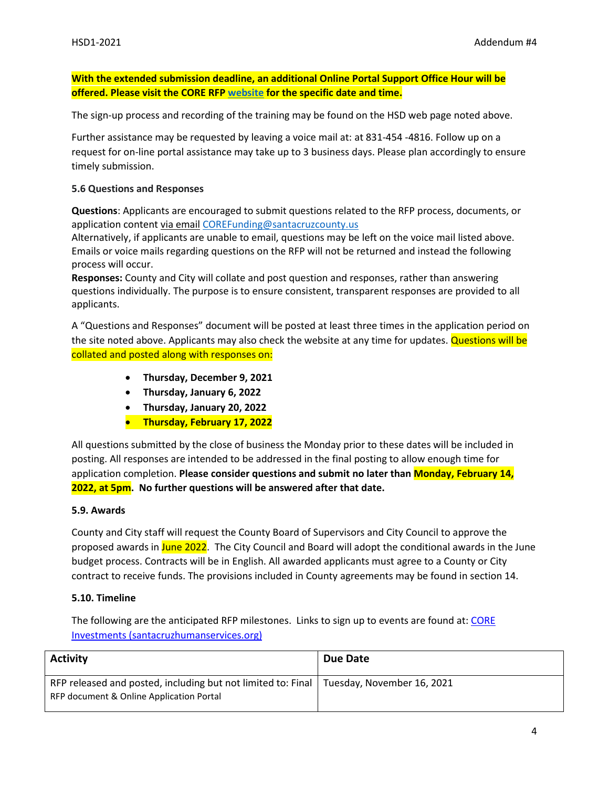**With the extended submission deadline, an additional Online Portal Support Office Hour will be offered. Please visit the CORE RFP [website](https://santacruzhumanservices.org/Home/FundingOpportunities/RequestforProposals/COREInvestments) for the specific date and time.**

The sign-up process and recording of the training may be found on the HSD web page noted above.

Further assistance may be requested by leaving a voice mail at: at 831-454 -4816. Follow up on a request for on-line portal assistance may take up to 3 business days. Please plan accordingly to ensure timely submission.

### **5.6 Questions and Responses**

**Questions**: Applicants are encouraged to submit questions related to the RFP process, documents, or application content via email [COREFunding@santacruzcounty.us](mailto:COREFunding@santacruzcounty.us)

Alternatively, if applicants are unable to email, questions may be left on the voice mail listed above. Emails or voice mails regarding questions on the RFP will not be returned and instead the following process will occur.

**Responses:** County and City will collate and post question and responses, rather than answering questions individually. The purpose is to ensure consistent, transparent responses are provided to all applicants.

A "Questions and Responses" document will be posted at least three times in the application period on the site noted above. Applicants may also check the website at any time for updates. Questions will be collated and posted along with responses on:

- **Thursday, December 9, 2021**
- **Thursday, January 6, 2022**
- **Thursday, January 20, 2022**
- **Thursday, February 17, 2022**

All questions submitted by the close of business the Monday prior to these dates will be included in posting. All responses are intended to be addressed in the final posting to allow enough time for application completion. **Please consider questions and submit no later than Monday, February 14, 2022, at 5pm. No further questions will be answered after that date.**

### **5.9. Awards**

County and City staff will request the County Board of Supervisors and City Council to approve the proposed awards in June 2022. The City Council and Board will adopt the conditional awards in the June budget process. Contracts will be in English. All awarded applicants must agree to a County or City contract to receive funds. The provisions included in County agreements may be found in section 14.

### **5.10. Timeline**

The following are the anticipated RFP milestones. Links to sign up to events are found at[: CORE](https://santacruzhumanservices.org/Home/FundingOpportunities/RequestforProposals/COREInvestments)  [Investments \(santacruzhumanservices.org\)](https://santacruzhumanservices.org/Home/FundingOpportunities/RequestforProposals/COREInvestments)

| <b>Activity</b>                                                                                          | Due Date                   |
|----------------------------------------------------------------------------------------------------------|----------------------------|
| RFP released and posted, including but not limited to: Final<br>RFP document & Online Application Portal | Tuesday, November 16, 2021 |